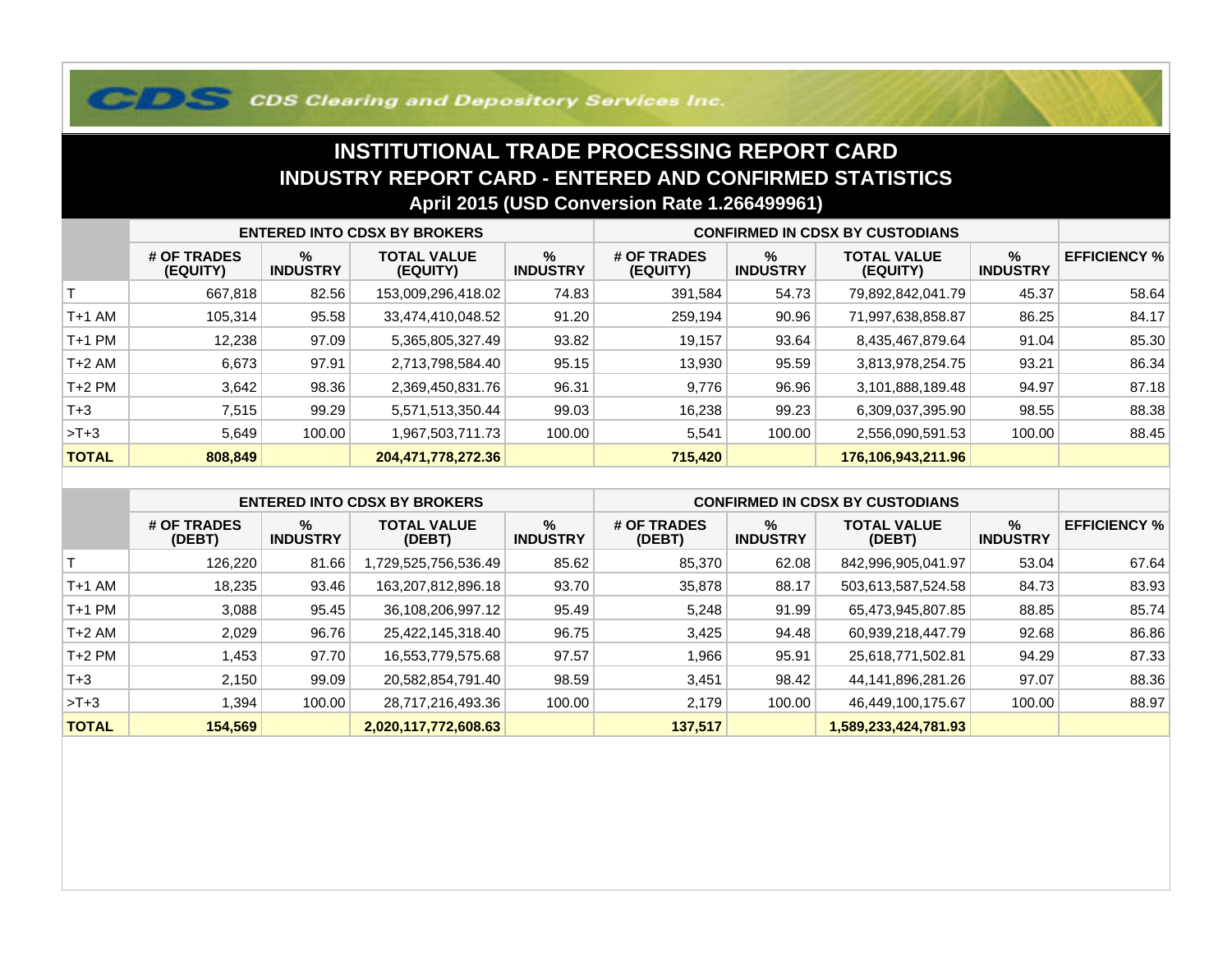## **COS Clearing and Depository Services Inc.**

## **INSTITUTIONAL TRADE PROCESSING REPORT CARD INDUSTRY REPORT CARD - ENTERED AND CONFIRMED STATISTICSApril 2015 (USD Conversion Rate 1.266499961)**

|              | <b>ENTERED INTO CDSX BY BROKERS</b> |                         |                                |                         | <b>CONFIRMED IN CDSX BY CUSTODIANS</b> |                      |                                |                      |                     |
|--------------|-------------------------------------|-------------------------|--------------------------------|-------------------------|----------------------------------------|----------------------|--------------------------------|----------------------|---------------------|
|              | # OF TRADES<br>(EQUITY)             | $\%$<br><b>INDUSTRY</b> | <b>TOTAL VALUE</b><br>(EQUITY) | $\%$<br><b>INDUSTRY</b> | # OF TRADES<br>(EQUITY)                | %<br><b>INDUSTRY</b> | <b>TOTAL VALUE</b><br>(EQUITY) | %<br><b>INDUSTRY</b> | <b>EFFICIENCY %</b> |
|              | 667,818                             | 82.56                   | 153,009,296,418.02             | 74.83                   | 391,584                                | 54.73                | 79,892,842,041.79              | 45.37                | 58.64               |
| T+1 AM       | 105,314                             | 95.58                   | 33,474,410,048.52              | 91.20                   | 259,194                                | 90.96                | 71,997,638,858.87              | 86.25                | 84.17               |
| T+1 PM       | 12,238                              | 97.09                   | 5,365,805,327.49               | 93.82                   | 19,157                                 | 93.64                | 8,435,467,879.64               | 91.04                | 85.30               |
| T+2 AM       | 6,673                               | 97.91                   | 2,713,798,584.40               | 95.15                   | 13,930                                 | 95.59                | 3,813,978,254.75               | 93.21                | 86.34               |
| $T+2$ PM     | 3,642                               | 98.36                   | 2,369,450,831.76               | 96.31                   | 9,776                                  | 96.96                | 3,101,888,189.48               | 94.97                | 87.18               |
| $T + 3$      | 7,515                               | 99.29                   | 5,571,513,350.44               | 99.03                   | 16,238                                 | 99.23                | 6,309,037,395.90               | 98.55                | 88.38               |
| $>T+3$       | 5,649                               | 100.00                  | 1,967,503,711.73               | 100.00                  | 5,541                                  | 100.00               | 2,556,090,591.53               | 100.00               | 88.45               |
| <b>TOTAL</b> | 808,849                             |                         | 204,471,778,272.36             |                         | 715,420                                |                      | 176,106,943,211.96             |                      |                     |

|              | <b>ENTERED INTO CDSX BY BROKERS</b> |                      |                              |                         | <b>CONFIRMED IN CDSX BY CUSTODIANS</b> |                      |                              |                      |                     |
|--------------|-------------------------------------|----------------------|------------------------------|-------------------------|----------------------------------------|----------------------|------------------------------|----------------------|---------------------|
|              | # OF TRADES<br>(DEBT)               | %<br><b>INDUSTRY</b> | <b>TOTAL VALUE</b><br>(DEBT) | $\%$<br><b>INDUSTRY</b> | # OF TRADES<br>(DEBT)                  | %<br><b>INDUSTRY</b> | <b>TOTAL VALUE</b><br>(DEBT) | %<br><b>INDUSTRY</b> | <b>EFFICIENCY %</b> |
|              | 126,220                             | 81.66                | ,729,525,756,536.49          | 85.62                   | 85,370                                 | 62.08                | 842,996,905,041.97           | 53.04                | 67.64               |
| $T+1$ AM     | 18,235                              | 93.46                | 163,207,812,896.18           | 93.70                   | 35,878                                 | 88.17                | 503,613,587,524.58           | 84.73                | 83.93               |
| $T+1$ PM     | 3,088                               | 95.45                | 36,108,206,997.12            | 95.49                   | 5,248                                  | 91.99                | 65,473,945,807.85            | 88.85                | 85.74               |
| $T+2$ AM     | 2,029                               | 96.76                | 25,422,145,318.40            | 96.75                   | 3,425                                  | 94.48                | 60,939,218,447.79            | 92.68                | 86.86               |
| $T+2$ PM     | .453                                | 97.70                | 16,553,779,575.68            | 97.57                   | 966,                                   | 95.91                | 25,618,771,502.81            | 94.29                | 87.33               |
| $T+3$        | 2.150                               | 99.09                | 20,582,854,791.40            | 98.59                   | 3,451                                  | 98.42                | 44,141,896,281.26            | 97.07                | 88.36               |
| $>T+3$       | .394                                | 100.00               | 28,717,216,493.36            | 100.00                  | 2,179                                  | 100.00               | 46,449,100,175.67            | 100.00               | 88.97               |
| <b>TOTAL</b> | 154,569                             |                      | 2,020,117,772,608.63         |                         | 137,517                                |                      | 1,589,233,424,781.93         |                      |                     |